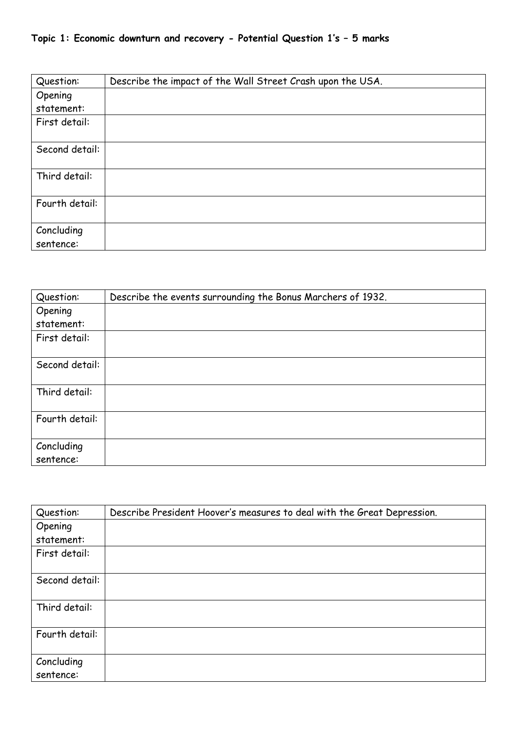## **Topic 1: Economic downturn and recovery - Potential Question 1's – 5 marks**

| Question:      | Describe the impact of the Wall Street Crash upon the USA. |
|----------------|------------------------------------------------------------|
| Opening        |                                                            |
| statement:     |                                                            |
| First detail:  |                                                            |
|                |                                                            |
| Second detail: |                                                            |
|                |                                                            |
| Third detail:  |                                                            |
|                |                                                            |
| Fourth detail: |                                                            |
|                |                                                            |
| Concluding     |                                                            |
| sentence:      |                                                            |

| Question:      | Describe the events surrounding the Bonus Marchers of 1932. |
|----------------|-------------------------------------------------------------|
| Opening        |                                                             |
| statement:     |                                                             |
| First detail:  |                                                             |
| Second detail: |                                                             |
| Third detail:  |                                                             |
| Fourth detail: |                                                             |
| Concluding     |                                                             |
| sentence:      |                                                             |

| Question:      | Describe President Hoover's measures to deal with the Great Depression. |
|----------------|-------------------------------------------------------------------------|
| Opening        |                                                                         |
| statement:     |                                                                         |
| First detail:  |                                                                         |
|                |                                                                         |
| Second detail: |                                                                         |
|                |                                                                         |
| Third detail:  |                                                                         |
|                |                                                                         |
| Fourth detail: |                                                                         |
|                |                                                                         |
| Concluding     |                                                                         |
| sentence:      |                                                                         |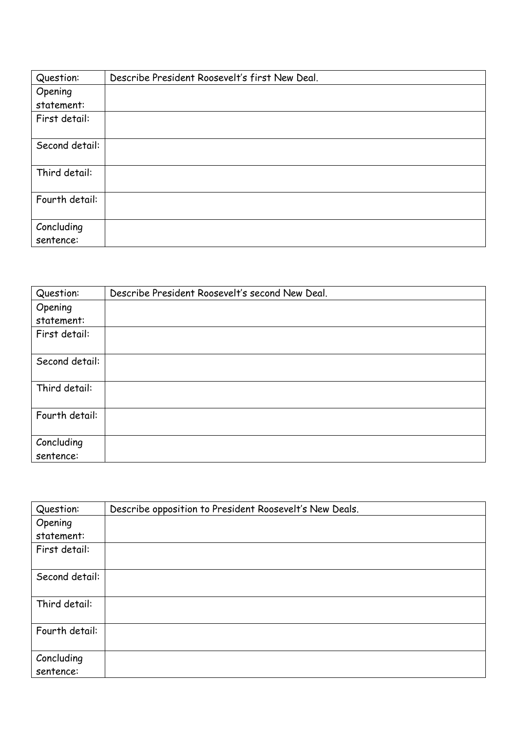| Question:      | Describe President Roosevelt's first New Deal. |
|----------------|------------------------------------------------|
| Opening        |                                                |
| statement:     |                                                |
| First detail:  |                                                |
|                |                                                |
| Second detail: |                                                |
|                |                                                |
| Third detail:  |                                                |
|                |                                                |
| Fourth detail: |                                                |
|                |                                                |
| Concluding     |                                                |
| sentence:      |                                                |

| Question:      | Describe President Roosevelt's second New Deal. |
|----------------|-------------------------------------------------|
| Opening        |                                                 |
| statement:     |                                                 |
| First detail:  |                                                 |
|                |                                                 |
| Second detail: |                                                 |
|                |                                                 |
| Third detail:  |                                                 |
|                |                                                 |
| Fourth detail: |                                                 |
|                |                                                 |
| Concluding     |                                                 |
| sentence:      |                                                 |

| Question:      | Describe opposition to President Roosevelt's New Deals. |
|----------------|---------------------------------------------------------|
| Opening        |                                                         |
| statement:     |                                                         |
| First detail:  |                                                         |
|                |                                                         |
| Second detail: |                                                         |
|                |                                                         |
| Third detail:  |                                                         |
|                |                                                         |
| Fourth detail: |                                                         |
|                |                                                         |
| Concluding     |                                                         |
| sentence:      |                                                         |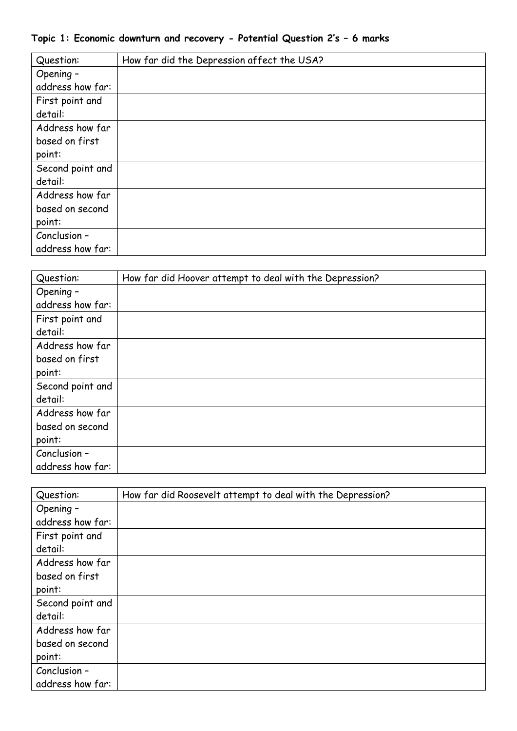| Topic 1: Economic downturn and recovery - Potential Question 2's - 6 marks |  |  |  |  |
|----------------------------------------------------------------------------|--|--|--|--|
|----------------------------------------------------------------------------|--|--|--|--|

| Question:        | How far did the Depression affect the USA? |
|------------------|--------------------------------------------|
| Opening -        |                                            |
| address how far: |                                            |
| First point and  |                                            |
| detail:          |                                            |
| Address how far  |                                            |
| based on first   |                                            |
| point:           |                                            |
| Second point and |                                            |
| detail:          |                                            |
| Address how far  |                                            |
| based on second  |                                            |
| point:           |                                            |
| Conclusion -     |                                            |
| address how far: |                                            |

| Question:        | How far did Hoover attempt to deal with the Depression? |
|------------------|---------------------------------------------------------|
| Opening -        |                                                         |
| address how far: |                                                         |
| First point and  |                                                         |
| detail:          |                                                         |
| Address how far  |                                                         |
| based on first   |                                                         |
| point:           |                                                         |
| Second point and |                                                         |
| detail:          |                                                         |
| Address how far  |                                                         |
| based on second  |                                                         |
| point:           |                                                         |
| Conclusion -     |                                                         |
| address how far: |                                                         |

| Question:        | How far did Roosevelt attempt to deal with the Depression? |
|------------------|------------------------------------------------------------|
| Opening -        |                                                            |
| address how far: |                                                            |
| First point and  |                                                            |
| detail:          |                                                            |
| Address how far  |                                                            |
| based on first   |                                                            |
| point:           |                                                            |
| Second point and |                                                            |
| detail:          |                                                            |
| Address how far  |                                                            |
| based on second  |                                                            |
| point:           |                                                            |
| Conclusion -     |                                                            |
| address how far: |                                                            |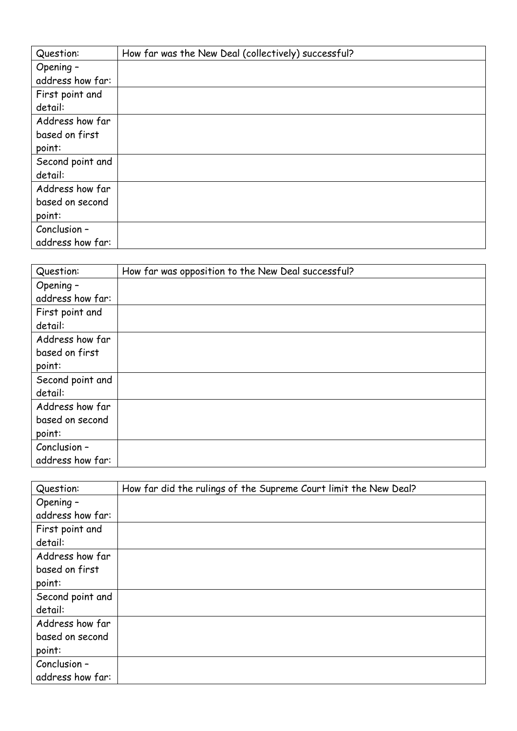| Question:        | How far was the New Deal (collectively) successful? |
|------------------|-----------------------------------------------------|
| Opening -        |                                                     |
| address how far: |                                                     |
| First point and  |                                                     |
| detail:          |                                                     |
| Address how far  |                                                     |
| based on first   |                                                     |
| point:           |                                                     |
| Second point and |                                                     |
| detail:          |                                                     |
| Address how far  |                                                     |
| based on second  |                                                     |
| point:           |                                                     |
| Conclusion -     |                                                     |
| address how far: |                                                     |

| Question:        | How far was opposition to the New Deal successful? |
|------------------|----------------------------------------------------|
| Opening -        |                                                    |
| address how far: |                                                    |
| First point and  |                                                    |
| detail:          |                                                    |
| Address how far  |                                                    |
| based on first   |                                                    |
| point:           |                                                    |
| Second point and |                                                    |
| detail:          |                                                    |
| Address how far  |                                                    |
| based on second  |                                                    |
| point:           |                                                    |
| Conclusion -     |                                                    |
| address how far: |                                                    |

| Question:        | How far did the rulings of the Supreme Court limit the New Deal? |
|------------------|------------------------------------------------------------------|
| Opening -        |                                                                  |
| address how far: |                                                                  |
| First point and  |                                                                  |
| detail:          |                                                                  |
| Address how far  |                                                                  |
| based on first   |                                                                  |
| point:           |                                                                  |
| Second point and |                                                                  |
| detail:          |                                                                  |
| Address how far  |                                                                  |
| based on second  |                                                                  |
| point:           |                                                                  |
| Conclusion -     |                                                                  |
| address how far: |                                                                  |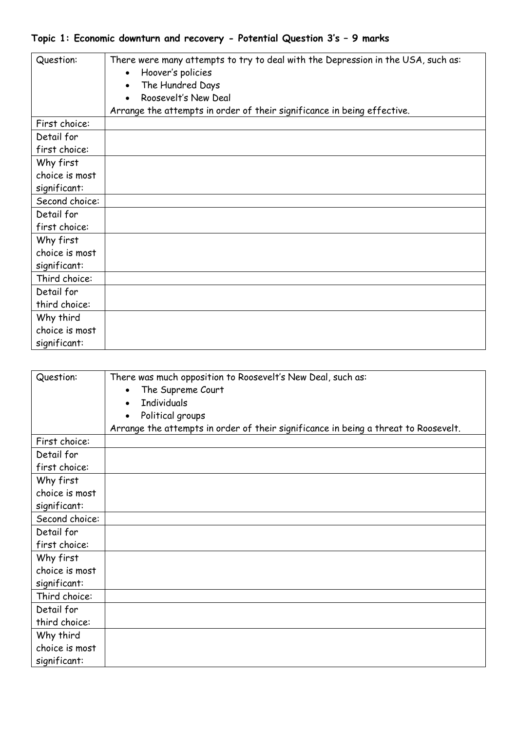## **Topic 1: Economic downturn and recovery - Potential Question 3's – 9 marks**

| Question:      | There were many attempts to try to deal with the Depression in the USA, such as:<br>Hoover's policies<br>The Hundred Days<br>Roosevelt's New Deal |
|----------------|---------------------------------------------------------------------------------------------------------------------------------------------------|
|                | Arrange the attempts in order of their significance in being effective.                                                                           |
| First choice:  |                                                                                                                                                   |
| Detail for     |                                                                                                                                                   |
| first choice:  |                                                                                                                                                   |
| Why first      |                                                                                                                                                   |
| choice is most |                                                                                                                                                   |
| significant:   |                                                                                                                                                   |
| Second choice: |                                                                                                                                                   |
| Detail for     |                                                                                                                                                   |
| first choice:  |                                                                                                                                                   |
| Why first      |                                                                                                                                                   |
| choice is most |                                                                                                                                                   |
| significant:   |                                                                                                                                                   |
| Third choice:  |                                                                                                                                                   |
| Detail for     |                                                                                                                                                   |
| third choice:  |                                                                                                                                                   |
| Why third      |                                                                                                                                                   |
| choice is most |                                                                                                                                                   |
| significant:   |                                                                                                                                                   |

| Question:      | There was much opposition to Roosevelt's New Deal, such as:                         |
|----------------|-------------------------------------------------------------------------------------|
|                | The Supreme Court                                                                   |
|                | <b>Individuals</b>                                                                  |
|                | Political groups                                                                    |
|                | Arrange the attempts in order of their significance in being a threat to Roosevelt. |
| First choice:  |                                                                                     |
| Detail for     |                                                                                     |
| first choice:  |                                                                                     |
| Why first      |                                                                                     |
| choice is most |                                                                                     |
| significant:   |                                                                                     |
| Second choice: |                                                                                     |
| Detail for     |                                                                                     |
| first choice:  |                                                                                     |
| Why first      |                                                                                     |
| choice is most |                                                                                     |
| significant:   |                                                                                     |
| Third choice:  |                                                                                     |
| Detail for     |                                                                                     |
| third choice:  |                                                                                     |
| Why third      |                                                                                     |
| choice is most |                                                                                     |
| significant:   |                                                                                     |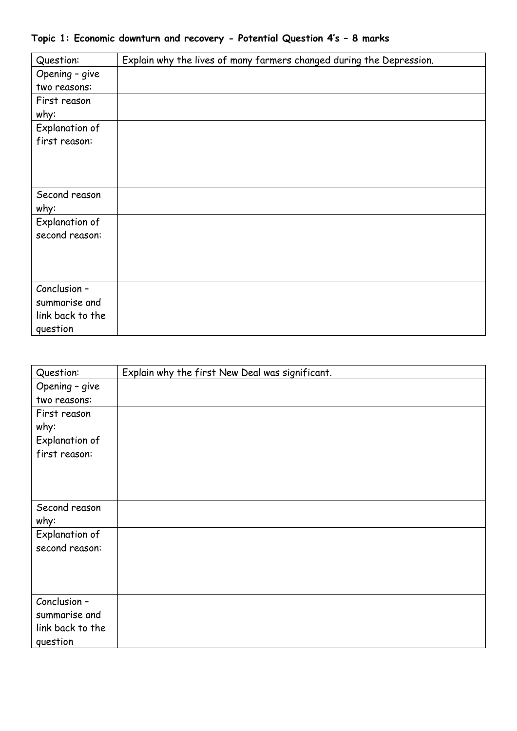| Question:        | Explain why the lives of many farmers changed during the Depression. |
|------------------|----------------------------------------------------------------------|
| Opening - give   |                                                                      |
| two reasons:     |                                                                      |
| First reason     |                                                                      |
| why:             |                                                                      |
| Explanation of   |                                                                      |
| first reason:    |                                                                      |
|                  |                                                                      |
|                  |                                                                      |
|                  |                                                                      |
| Second reason    |                                                                      |
| why:             |                                                                      |
| Explanation of   |                                                                      |
| second reason:   |                                                                      |
|                  |                                                                      |
|                  |                                                                      |
|                  |                                                                      |
| Conclusion -     |                                                                      |
| summarise and    |                                                                      |
| link back to the |                                                                      |
| question         |                                                                      |

## **Topic 1: Economic downturn and recovery - Potential Question 4's – 8 marks**

| Question:        | Explain why the first New Deal was significant. |
|------------------|-------------------------------------------------|
| Opening - give   |                                                 |
| two reasons:     |                                                 |
| First reason     |                                                 |
| why:             |                                                 |
| Explanation of   |                                                 |
| first reason:    |                                                 |
|                  |                                                 |
|                  |                                                 |
|                  |                                                 |
| Second reason    |                                                 |
| why:             |                                                 |
| Explanation of   |                                                 |
| second reason:   |                                                 |
|                  |                                                 |
|                  |                                                 |
|                  |                                                 |
| Conclusion -     |                                                 |
| summarise and    |                                                 |
| link back to the |                                                 |
| question         |                                                 |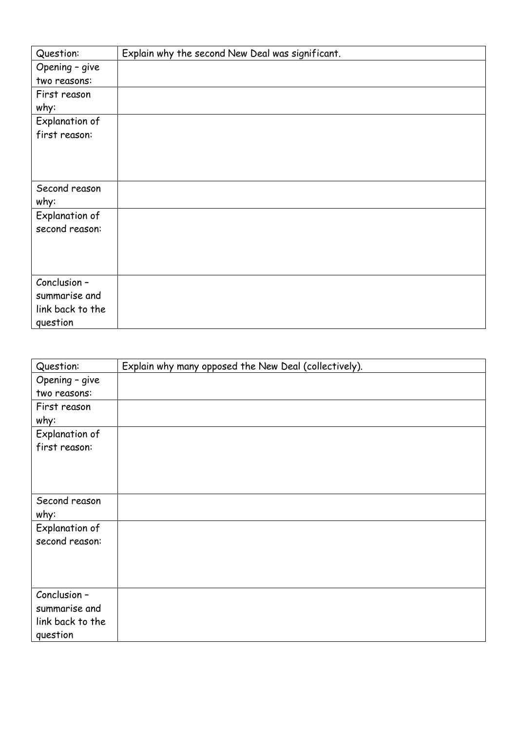| Question:        | Explain why the second New Deal was significant. |
|------------------|--------------------------------------------------|
| Opening - give   |                                                  |
| two reasons:     |                                                  |
| First reason     |                                                  |
| why:             |                                                  |
| Explanation of   |                                                  |
| first reason:    |                                                  |
|                  |                                                  |
|                  |                                                  |
|                  |                                                  |
| Second reason    |                                                  |
| why:             |                                                  |
| Explanation of   |                                                  |
| second reason:   |                                                  |
|                  |                                                  |
|                  |                                                  |
|                  |                                                  |
| Conclusion -     |                                                  |
| summarise and    |                                                  |
| link back to the |                                                  |
| question         |                                                  |

| Question:        | Explain why many opposed the New Deal (collectively). |
|------------------|-------------------------------------------------------|
| Opening - give   |                                                       |
| two reasons:     |                                                       |
| First reason     |                                                       |
| why:             |                                                       |
| Explanation of   |                                                       |
| first reason:    |                                                       |
|                  |                                                       |
|                  |                                                       |
|                  |                                                       |
| Second reason    |                                                       |
| why:             |                                                       |
| Explanation of   |                                                       |
| second reason:   |                                                       |
|                  |                                                       |
|                  |                                                       |
|                  |                                                       |
| Conclusion -     |                                                       |
| summarise and    |                                                       |
| link back to the |                                                       |
| question         |                                                       |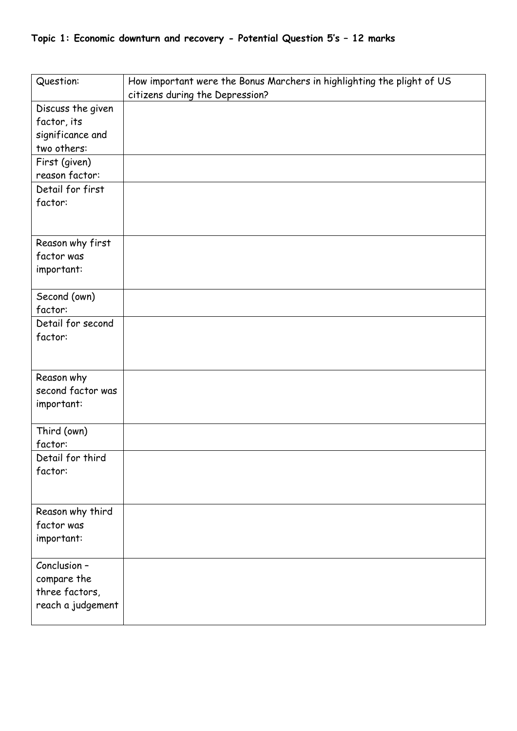| Question:         | How important were the Bonus Marchers in highlighting the plight of US |
|-------------------|------------------------------------------------------------------------|
|                   | citizens during the Depression?                                        |
| Discuss the given |                                                                        |
| factor, its       |                                                                        |
| significance and  |                                                                        |
| two others:       |                                                                        |
| First (given)     |                                                                        |
| reason factor:    |                                                                        |
| Detail for first  |                                                                        |
| factor:           |                                                                        |
|                   |                                                                        |
| Reason why first  |                                                                        |
| factor was        |                                                                        |
| important:        |                                                                        |
| Second (own)      |                                                                        |
| factor:           |                                                                        |
| Detail for second |                                                                        |
| factor:           |                                                                        |
|                   |                                                                        |
|                   |                                                                        |
| Reason why        |                                                                        |
| second factor was |                                                                        |
| important:        |                                                                        |
| Third (own)       |                                                                        |
| factor:           |                                                                        |
| Detail for third  |                                                                        |
| factor:           |                                                                        |
|                   |                                                                        |
| Reason why third  |                                                                        |
| factor was        |                                                                        |
| important:        |                                                                        |
| Conclusion -      |                                                                        |
| compare the       |                                                                        |
| three factors,    |                                                                        |
| reach a judgement |                                                                        |
|                   |                                                                        |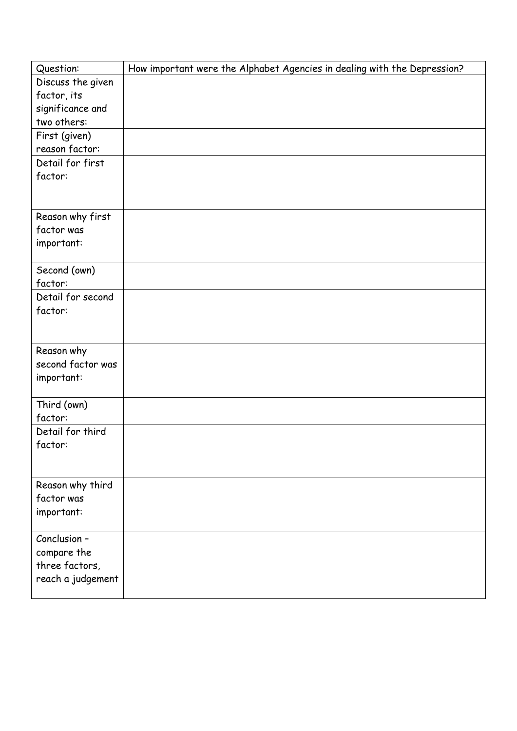| Question:                      | How important were the Alphabet Agencies in dealing with the Depression? |
|--------------------------------|--------------------------------------------------------------------------|
| Discuss the given              |                                                                          |
| factor, its                    |                                                                          |
| significance and               |                                                                          |
| two others:                    |                                                                          |
| First (given)                  |                                                                          |
| reason factor:                 |                                                                          |
| Detail for first               |                                                                          |
| factor:                        |                                                                          |
|                                |                                                                          |
|                                |                                                                          |
| Reason why first<br>factor was |                                                                          |
|                                |                                                                          |
| important:                     |                                                                          |
| Second (own)                   |                                                                          |
| factor:                        |                                                                          |
| Detail for second              |                                                                          |
| factor:                        |                                                                          |
|                                |                                                                          |
|                                |                                                                          |
| Reason why                     |                                                                          |
| second factor was              |                                                                          |
| important:                     |                                                                          |
|                                |                                                                          |
| Third (own)                    |                                                                          |
| factor:                        |                                                                          |
| Detail for third               |                                                                          |
| factor:                        |                                                                          |
|                                |                                                                          |
| Reason why third               |                                                                          |
| factor was                     |                                                                          |
| important:                     |                                                                          |
|                                |                                                                          |
| Conclusion -                   |                                                                          |
| compare the                    |                                                                          |
| three factors,                 |                                                                          |
| reach a judgement              |                                                                          |
|                                |                                                                          |